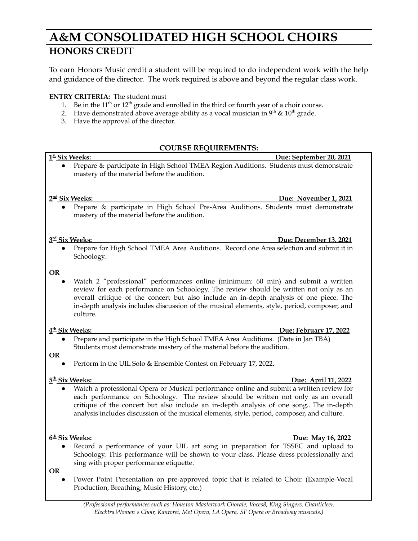## **A&M CONSOLIDATED HIGH SCHOOL CHOIRS HONORS CREDIT**

To earn Honors Music credit a student will be required to do independent work with the help and guidance of the director. The work required is above and beyond the regular class work.

## **ENTRY CRITERIA:** The student must

- 1. Be in the  $11<sup>th</sup>$  or  $12<sup>th</sup>$  grade and enrolled in the third or fourth year of a choir course.
- 2. Have demonstrated above average ability as a vocal musician in  $9<sup>th</sup>$  &  $10<sup>th</sup>$  grade.
- 3. Have the approval of the director.

## **COURSE REQUIREMENTS:**

| 1st Six Weeks:                                    | Due: September 20, 2021                                                                                                                                                                                                                                                                                                                                                          |
|---------------------------------------------------|----------------------------------------------------------------------------------------------------------------------------------------------------------------------------------------------------------------------------------------------------------------------------------------------------------------------------------------------------------------------------------|
|                                                   | Prepare & participate in High School TMEA Region Auditions. Students must demonstrate<br>mastery of the material before the audition.                                                                                                                                                                                                                                            |
|                                                   | 2 <sup>nd</sup> Six Weeks:<br>Due: November 1, 2021                                                                                                                                                                                                                                                                                                                              |
|                                                   | Prepare & participate in High School Pre-Area Auditions. Students must demonstrate<br>mastery of the material before the audition.                                                                                                                                                                                                                                               |
|                                                   | 3rd Six Weeks:<br>Due: December 13, 2021                                                                                                                                                                                                                                                                                                                                         |
|                                                   | Prepare for High School TMEA Area Auditions. Record one Area selection and submit it in<br>Schoology.                                                                                                                                                                                                                                                                            |
| <b>OR</b>                                         | Watch 2 "professional" performances online (minimum: 60 min) and submit a written<br>review for each performance on Schoology. The review should be written not only as an<br>overall critique of the concert but also include an in-depth analysis of one piece. The<br>in-depth analysis includes discussion of the musical elements, style, period, composer, and<br>culture. |
|                                                   | 4 <sup>th</sup> Six Weeks:<br>Due: February 17, 2022                                                                                                                                                                                                                                                                                                                             |
|                                                   | Prepare and participate in the High School TMEA Area Auditions. (Date in Jan TBA)<br>Students must demonstrate mastery of the material before the audition.                                                                                                                                                                                                                      |
| <b>OR</b>                                         | Perform in the UIL Solo & Ensemble Contest on February 17, 2022.                                                                                                                                                                                                                                                                                                                 |
| 5 <sup>th</sup> Six Weeks:<br>Due: April 11, 2022 |                                                                                                                                                                                                                                                                                                                                                                                  |
|                                                   | Watch a professional Opera or Musical performance online and submit a written review for<br>each performance on Schoology. The review should be written not only as an overall<br>critique of the concert but also include an in-depth analysis of one song The in-depth<br>analysis includes discussion of the musical elements, style, period, composer, and culture.          |
|                                                   | 6 <sup>th</sup> Six Weeks:<br>Due: May 16, 2022                                                                                                                                                                                                                                                                                                                                  |
|                                                   | Record a performance of your UIL art song in preparation for TSSEC and upload to<br>Schoology. This performance will be shown to your class. Please dress professionally and<br>sing with proper performance etiquette.                                                                                                                                                          |

- **OR**
	- Power Point Presentation on pre-approved topic that is related to Choir. (Example-Vocal Production, Breathing, Music History, etc.)